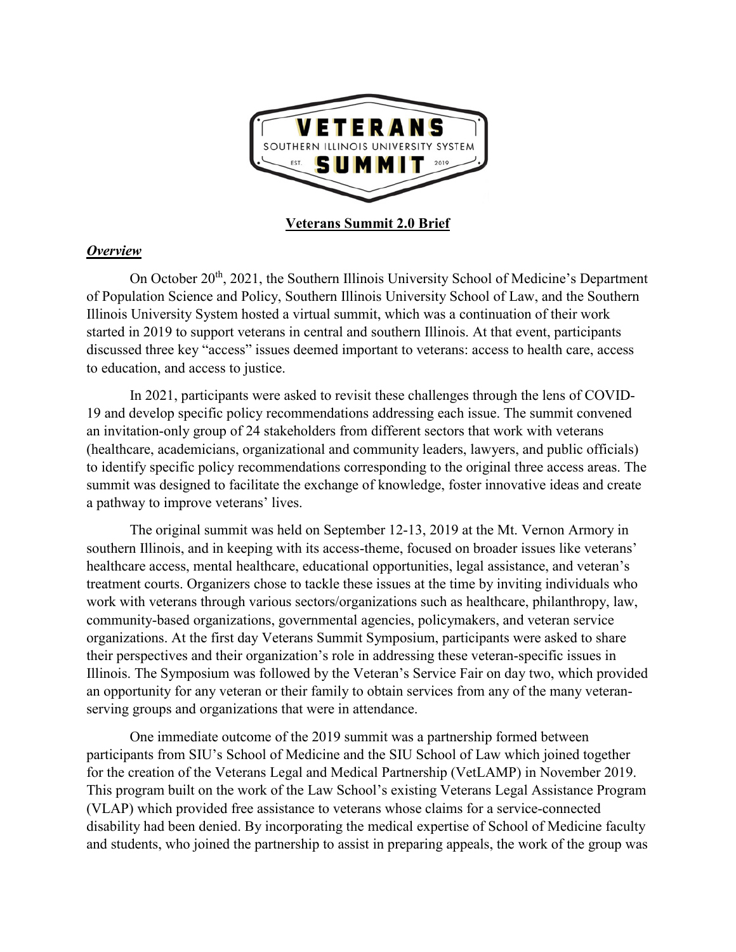

#### *Overview*

On October 20<sup>th</sup>, 2021, the Southern Illinois University School of Medicine's Department of Population Science and Policy, Southern Illinois University School of Law, and the Southern Illinois University System hosted a virtual summit, which was a continuation of their work started in 2019 to support veterans in central and southern Illinois. At that event, participants discussed three key "access" issues deemed important to veterans: access to health care, access to education, and access to justice.

In 2021, participants were asked to revisit these challenges through the lens of COVID-19 and develop specific policy recommendations addressing each issue. The summit convened an invitation-only group of 24 stakeholders from different sectors that work with veterans (healthcare, academicians, organizational and community leaders, lawyers, and public officials) to identify specific policy recommendations corresponding to the original three access areas. The summit was designed to facilitate the exchange of knowledge, foster innovative ideas and create a pathway to improve veterans' lives.

The original summit was held on September 12-13, 2019 at the Mt. Vernon Armory in southern Illinois, and in keeping with its access-theme, focused on broader issues like veterans' healthcare access, mental healthcare, educational opportunities, legal assistance, and veteran's treatment courts. Organizers chose to tackle these issues at the time by inviting individuals who work with veterans through various sectors/organizations such as healthcare, philanthropy, law, community-based organizations, governmental agencies, policymakers, and veteran service organizations. At the first day Veterans Summit Symposium, participants were asked to share their perspectives and their organization's role in addressing these veteran-specific issues in Illinois. The Symposium was followed by the Veteran's Service Fair on day two, which provided an opportunity for any veteran or their family to obtain services from any of the many veteranserving groups and organizations that were in attendance.

One immediate outcome of the 2019 summit was a partnership formed between participants from SIU's School of Medicine and the SIU School of Law which joined together for the creation of the Veterans Legal and Medical Partnership (VetLAMP) in November 2019. This program built on the work of the Law School's existing Veterans Legal Assistance Program (VLAP) which provided free assistance to veterans whose claims for a service-connected disability had been denied. By incorporating the medical expertise of School of Medicine faculty and students, who joined the partnership to assist in preparing appeals, the work of the group was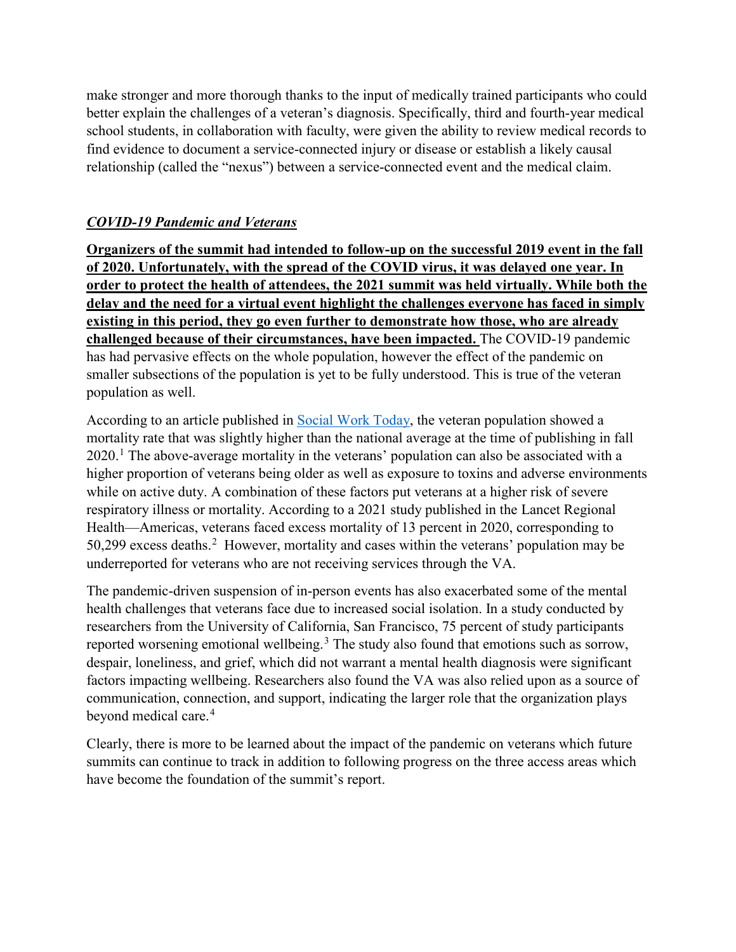make stronger and more thorough thanks to the input of medically trained participants who could better explain the challenges of a veteran's diagnosis. Specifically, third and fourth-year medical school students, in collaboration with faculty, were given the ability to review medical records to find evidence to document a service-connected injury or disease or establish a likely causal relationship (called the "nexus") between a service-connected event and the medical claim.

# *COVID-19 Pandemic and Veterans*

**Organizers of the summit had intended to follow-up on the successful 2019 event in the fall of 2020. Unfortunately, with the spread of the COVID virus, it was delayed one year. In order to protect the health of attendees, the 2021 summit was held virtually. While both the delay and the need for a virtual event highlight the challenges everyone has faced in simply existing in this period, they go even further to demonstrate how those, who are already challenged because of their circumstances, have been impacted.** The COVID-19 pandemic has had pervasive effects on the whole population, however the effect of the pandemic on smaller subsections of the population is yet to be fully understood. This is true of the veteran population as well.

According to an article published in [Social Work Today,](https://www.socialworktoday.com/) the veteran population showed a mortality rate that was slightly higher than the national average at the time of publishing in fall  $2020$ .<sup>[1](#page-6-0)</sup> The above-average mortality in the veterans' population can also be associated with a higher proportion of veterans being older as well as exposure to toxins and adverse environments while on active duty. A combination of these factors put veterans at a higher risk of severe respiratory illness or mortality. According to a 2021 study published in the Lancet Regional Health—Americas, veterans faced excess mortality of 13 percent in 2020, corresponding to 50,[2](#page-6-1)99 excess deaths.<sup>2</sup> However, mortality and cases within the veterans' population may be underreported for veterans who are not receiving services through the VA.

The pandemic-driven suspension of in-person events has also exacerbated some of the mental health challenges that veterans face due to increased social isolation. In a study conducted by researchers from the University of California, San Francisco, 75 percent of study participants reported worsening emotional wellbeing.<sup>[3](#page-6-2)</sup> The study also found that emotions such as sorrow, despair, loneliness, and grief, which did not warrant a mental health diagnosis were significant factors impacting wellbeing. Researchers also found the VA was also relied upon as a source of communication, connection, and support, indicating the larger role that the organization plays beyond medical care.<sup>[4](#page-6-3)</sup>

Clearly, there is more to be learned about the impact of the pandemic on veterans which future summits can continue to track in addition to following progress on the three access areas which have become the foundation of the summit's report.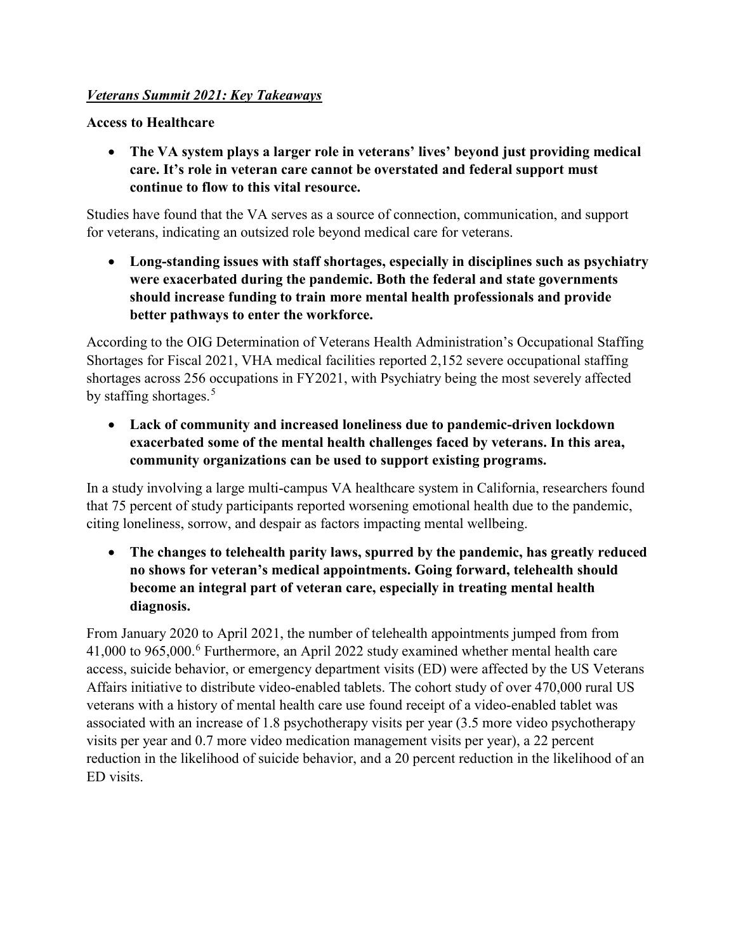## *Veterans Summit 2021: Key Takeaways*

**Access to Healthcare**

• **The VA system plays a larger role in veterans' lives' beyond just providing medical care. It's role in veteran care cannot be overstated and federal support must continue to flow to this vital resource.**

Studies have found that the VA serves as a source of connection, communication, and support for veterans, indicating an outsized role beyond medical care for veterans.

• **Long-standing issues with staff shortages, especially in disciplines such as psychiatry were exacerbated during the pandemic. Both the federal and state governments should increase funding to train more mental health professionals and provide better pathways to enter the workforce.**

According to the OIG Determination of Veterans Health Administration's Occupational Staffing Shortages for Fiscal 2021, VHA medical facilities reported 2,152 severe occupational staffing shortages across 256 occupations in FY2021, with Psychiatry being the most severely affected by staffing shortages. $5$ 

• **Lack of community and increased loneliness due to pandemic-driven lockdown exacerbated some of the mental health challenges faced by veterans. In this area, community organizations can be used to support existing programs.**

In a study involving a large multi-campus VA healthcare system in California, researchers found that 75 percent of study participants reported worsening emotional health due to the pandemic, citing loneliness, sorrow, and despair as factors impacting mental wellbeing.

• **The changes to telehealth parity laws, spurred by the pandemic, has greatly reduced no shows for veteran's medical appointments. Going forward, telehealth should become an integral part of veteran care, especially in treating mental health diagnosis.** 

From January 2020 to April 2021, the number of telehealth appointments jumped from from 41,000 to 965,000.[6](#page-6-5) Furthermore, an April 2022 study examined whether mental health care access, suicide behavior, or emergency department visits (ED) were affected by the US Veterans Affairs initiative to distribute video-enabled tablets. The cohort study of over 470,000 rural US veterans with a history of mental health care use found receipt of a video-enabled tablet was associated with an increase of 1.8 psychotherapy visits per year (3.5 more video psychotherapy visits per year and 0.7 more video medication management visits per year), a 22 percent reduction in the likelihood of suicide behavior, and a 20 percent reduction in the likelihood of an ED visits.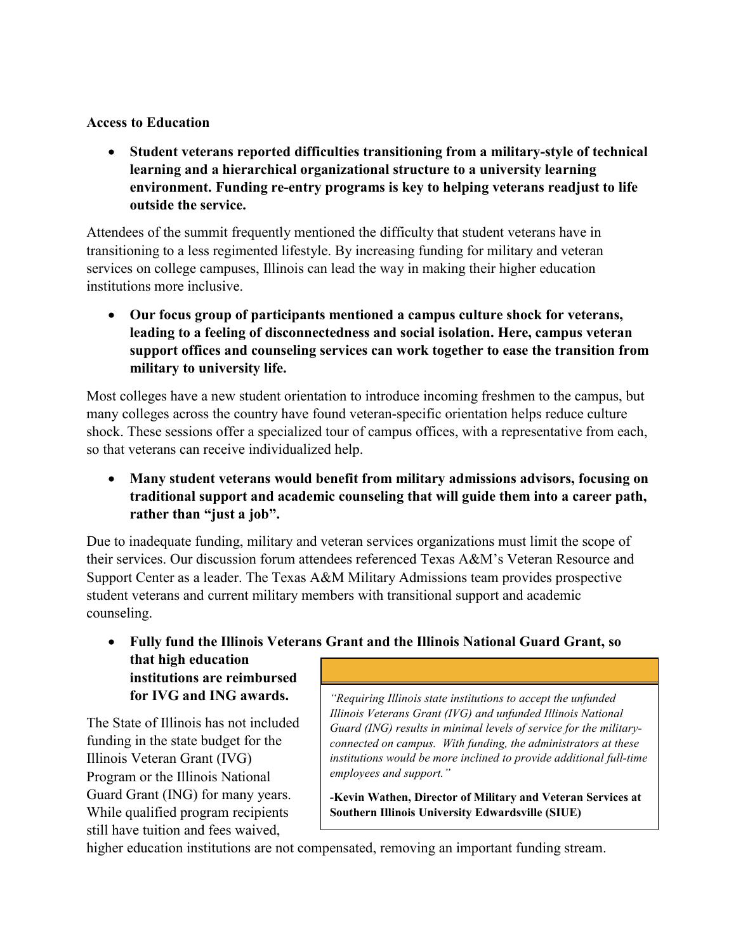### **Access to Education**

• **Student veterans reported difficulties transitioning from a military-style of technical learning and a hierarchical organizational structure to a university learning environment. Funding re-entry programs is key to helping veterans readjust to life outside the service.**

Attendees of the summit frequently mentioned the difficulty that student veterans have in transitioning to a less regimented lifestyle. By increasing funding for military and veteran services on college campuses, Illinois can lead the way in making their higher education institutions more inclusive.

• **Our focus group of participants mentioned a campus culture shock for veterans, leading to a feeling of disconnectedness and social isolation. Here, campus veteran support offices and counseling services can work together to ease the transition from military to university life.**

Most colleges have a new student orientation to introduce incoming freshmen to the campus, but many colleges across the country have found veteran-specific orientation helps reduce culture shock. These sessions offer a specialized tour of campus offices, with a representative from each, so that veterans can receive individualized help.

• **Many student veterans would benefit from military admissions advisors, focusing on traditional support and academic counseling that will guide them into a career path, rather than "just a job".**

Due to inadequate funding, military and veteran services organizations must limit the scope of their services. Our discussion forum attendees referenced Texas A&M's Veteran Resource and Support Center as a leader. The Texas A&M Military Admissions team provides prospective student veterans and current military members with transitional support and academic counseling.

• **Fully fund the Illinois Veterans Grant and the Illinois National Guard Grant, so that high education institutions are reimbursed for IVG and ING awards.** *"Requiring Illinois state institutions to accept the unfunded* 

The State of Illinois has not included funding in the state budget for the Illinois Veteran Grant (IVG) Program or the Illinois National Guard Grant (ING) for many years. While qualified program recipients still have tuition and fees waived,

*Illinois Veterans Grant (IVG) and unfunded Illinois National Guard (ING) results in minimal levels of service for the militaryconnected on campus. With funding, the administrators at these institutions would be more inclined to provide additional full-time employees and support."*

**-Kevin Wathen, Director of Military and Veteran Services at Southern Illinois University Edwardsville (SIUE)** 

higher education institutions are not compensated, removing an important funding stream.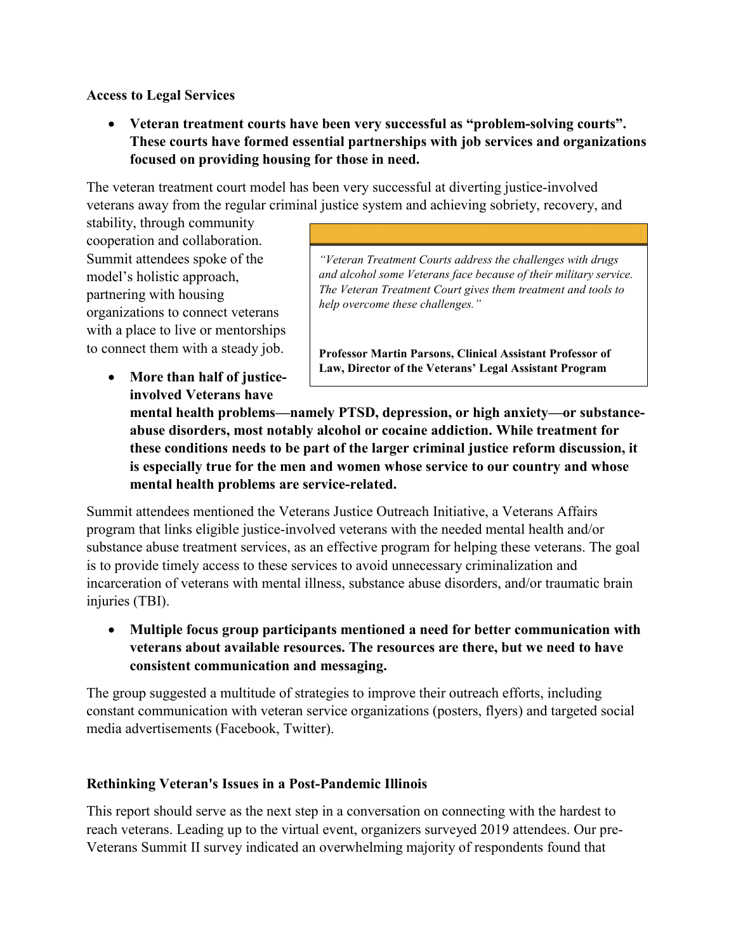### **Access to Legal Services**

• **Veteran treatment courts have been very successful as "problem-solving courts". These courts have formed essential partnerships with job services and organizations focused on providing housing for those in need.**

The veteran treatment court model has been very successful at diverting justice-involved veterans away from the regular criminal justice system and achieving sobriety, recovery, and

stability, through community cooperation and collaboration. Summit attendees spoke of the model's holistic approach, partnering with housing organizations to connect veterans with a place to live or mentorships to connect them with a steady job.

> • **More than half of justiceinvolved Veterans have**

*"Veteran Treatment Courts address the challenges with drugs and alcohol some Veterans face because of their military service. The Veteran Treatment Court gives them treatment and tools to help overcome these challenges."* 

**Professor Martin Parsons, Clinical Assistant Professor of Law, Director of the Veterans' Legal Assistant Program** 

**mental health problems—namely PTSD, depression, or high anxiety—or substanceabuse disorders, most notably alcohol or cocaine addiction. While treatment for these conditions needs to be part of the larger criminal justice reform discussion, it is especially true for the men and women whose service to our country and whose mental health problems are service-related.**

Summit attendees mentioned the Veterans Justice Outreach Initiative, a Veterans Affairs program that links eligible justice-involved veterans with the needed mental health and/or substance abuse treatment services, as an effective program for helping these veterans. The goal is to provide timely access to these services to avoid unnecessary criminalization and incarceration of veterans with mental illness, substance abuse disorders, and/or traumatic brain injuries (TBI).

• **Multiple focus group participants mentioned a need for better communication with veterans about available resources. The resources are there, but we need to have consistent communication and messaging.**

The group suggested a multitude of strategies to improve their outreach efforts, including constant communication with veteran service organizations (posters, flyers) and targeted social media advertisements (Facebook, Twitter).

#### **Rethinking Veteran's Issues in a Post-Pandemic Illinois**

This report should serve as the next step in a conversation on connecting with the hardest to reach veterans. Leading up to the virtual event, organizers surveyed 2019 attendees. Our pre-Veterans Summit II survey indicated an overwhelming majority of respondents found that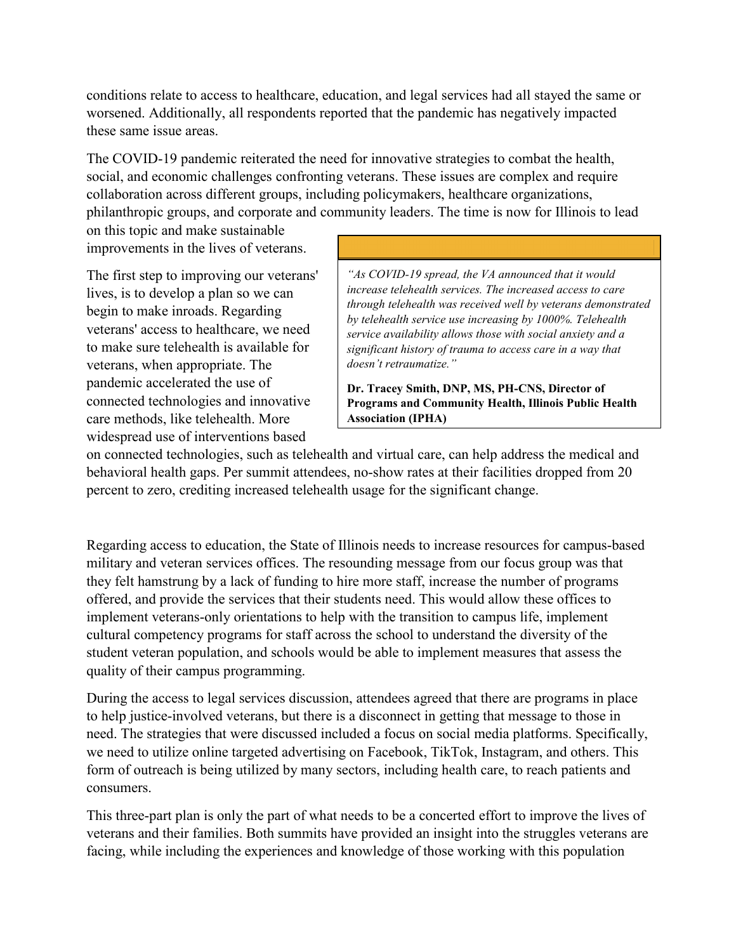conditions relate to access to healthcare, education, and legal services had all stayed the same or worsened. Additionally, all respondents reported that the pandemic has negatively impacted these same issue areas.

The COVID-19 pandemic reiterated the need for innovative strategies to combat the health, social, and economic challenges confronting veterans. These issues are complex and require collaboration across different groups, including policymakers, healthcare organizations, philanthropic groups, and corporate and community leaders. The time is now for Illinois to lead

on this topic and make sustainable improvements in the lives of veterans.

The first step to improving our veterans' lives, is to develop a plan so we can begin to make inroads. Regarding veterans' access to healthcare, we need to make sure telehealth is available for veterans, when appropriate. The pandemic accelerated the use of connected technologies and innovative care methods, like telehealth. More widespread use of interventions based

*"As COVID-19 spread, the VA announced that it would increase telehealth services. The increased access to care through telehealth was received well by veterans demonstrated by telehealth service use increasing by 1000%. Telehealth service availability allows those with social anxiety and a significant history of trauma to access care in a way that doesn't retraumatize."*

**Dr. Tracey Smith, DNP, MS, PH-CNS, Director of Programs and Community Health, Illinois Public Health Association (IPHA)**

on connected technologies, such as telehealth and virtual care, can help address the medical and behavioral health gaps. Per summit attendees, no-show rates at their facilities dropped from 20 percent to zero, crediting increased telehealth usage for the significant change.

Regarding access to education, the State of Illinois needs to increase resources for campus-based military and veteran services offices. The resounding message from our focus group was that they felt hamstrung by a lack of funding to hire more staff, increase the number of programs offered, and provide the services that their students need. This would allow these offices to implement veterans-only orientations to help with the transition to campus life, implement cultural competency programs for staff across the school to understand the diversity of the student veteran population, and schools would be able to implement measures that assess the quality of their campus programming.

During the access to legal services discussion, attendees agreed that there are programs in place to help justice-involved veterans, but there is a disconnect in getting that message to those in need. The strategies that were discussed included a focus on social media platforms. Specifically, we need to utilize online targeted advertising on Facebook, TikTok, Instagram, and others. This form of outreach is being utilized by many sectors, including health care, to reach patients and consumers.

This three-part plan is only the part of what needs to be a concerted effort to improve the lives of veterans and their families. Both summits have provided an insight into the struggles veterans are facing, while including the experiences and knowledge of those working with this population